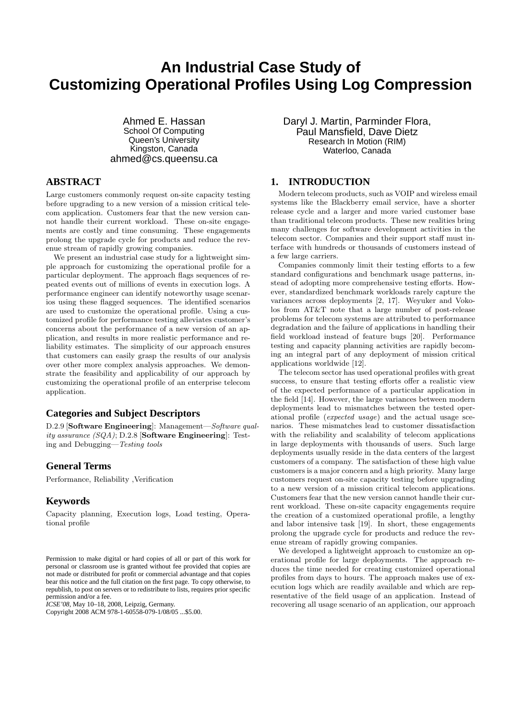# **An Industrial Case Study of Customizing Operational Profiles Using Log Compression**

Ahmed E. Hassan School Of Computing Queen's University Kingston, Canada ahmed@cs.queensu.ca

# **ABSTRACT**

Large customers commonly request on-site capacity testing before upgrading to a new version of a mission critical telecom application. Customers fear that the new version cannot handle their current workload. These on-site engagements are costly and time consuming. These engagements prolong the upgrade cycle for products and reduce the revenue stream of rapidly growing companies.

We present an industrial case study for a lightweight simple approach for customizing the operational profile for a particular deployment. The approach flags sequences of repeated events out of millions of events in execution logs. A performance engineer can identify noteworthy usage scenarios using these flagged sequences. The identified scenarios are used to customize the operational profile. Using a customized profile for performance testing alleviates customer's concerns about the performance of a new version of an application, and results in more realistic performance and reliability estimates. The simplicity of our approach ensures that customers can easily grasp the results of our analysis over other more complex analysis approaches. We demonstrate the feasibility and applicability of our approach by customizing the operational profile of an enterprise telecom application.

## **Categories and Subject Descriptors**

D.2.9 [Software Engineering]: Management—Software quality assurance (SQA); D.2.8 [Software Engineering]: Testing and Debugging—Testing tools

#### **General Terms**

Performance, Reliability ,Verification

## **Keywords**

Capacity planning, Execution logs, Load testing, Operational profile

*ICSE'08,* May 10–18, 2008, Leipzig, Germany.

Copyright 2008 ACM 978-1-60558-079-1/08/05 ...\$5.00.

Daryl J. Martin, Parminder Flora, Paul Mansfield, Dave Dietz Research In Motion (RIM) Waterloo, Canada

## **1. INTRODUCTION**

Modern telecom products, such as VOIP and wireless email systems like the Blackberry email service, have a shorter release cycle and a larger and more varied customer base than traditional telecom products. These new realities bring many challenges for software development activities in the telecom sector. Companies and their support staff must interface with hundreds or thousands of customers instead of a few large carriers.

Companies commonly limit their testing efforts to a few standard configurations and benchmark usage patterns, instead of adopting more comprehensive testing efforts. However, standardized benchmark workloads rarely capture the variances across deployments [2, 17]. Weyuker and Vokolos from AT&T note that a large number of post-release problems for telecom systems are attributed to performance degradation and the failure of applications in handling their field workload instead of feature bugs [20]. Performance testing and capacity planning activities are rapidly becoming an integral part of any deployment of mission critical applications worldwide [12].

The telecom sector has used operational profiles with great success, to ensure that testing efforts offer a realistic view of the expected performance of a particular application in the field [14]. However, the large variances between modern deployments lead to mismatches between the tested operational profile (expected usage) and the actual usage scenarios. These mismatches lead to customer dissatisfaction with the reliability and scalability of telecom applications in large deployments with thousands of users. Such large deployments usually reside in the data centers of the largest customers of a company. The satisfaction of these high value customers is a major concern and a high priority. Many large customers request on-site capacity testing before upgrading to a new version of a mission critical telecom applications. Customers fear that the new version cannot handle their current workload. These on-site capacity engagements require the creation of a customized operational profile, a lengthy and labor intensive task [19]. In short, these engagements prolong the upgrade cycle for products and reduce the revenue stream of rapidly growing companies.

We developed a lightweight approach to customize an operational profile for large deployments. The approach reduces the time needed for creating customized operational profiles from days to hours. The approach makes use of execution logs which are readily available and which are representative of the field usage of an application. Instead of recovering all usage scenario of an application, our approach

Permission to make digital or hard copies of all or part of this work for personal or classroom use is granted without fee provided that copies are not made or distributed for profit or commercial advantage and that copies bear this notice and the full citation on the first page. To copy otherwise, to republish, to post on servers or to redistribute to lists, requires prior specific permission and/or a fee.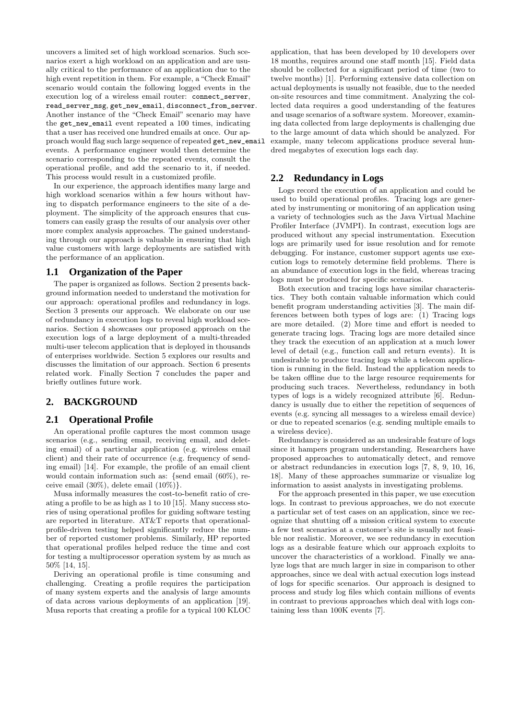uncovers a limited set of high workload scenarios. Such scenarios exert a high workload on an application and are usually critical to the performance of an application due to the high event repetition in them. For example, a "Check Email" scenario would contain the following logged events in the execution log of a wireless email router: connect\_server, read\_server\_msg, get\_new\_email, disconnect\_from\_server. Another instance of the "Check Email" scenario may have the get\_new\_email event repeated a 100 times, indicating that a user has received one hundred emails at once. Our approach would flag such large sequence of repeated get\_new\_email events. A performance engineer would then determine the scenario corresponding to the repeated events, consult the operational profile, and add the scenario to it, if needed. This process would result in a customized profile.

In our experience, the approach identifies many large and high workload scenarios within a few hours without having to dispatch performance engineers to the site of a deployment. The simplicity of the approach ensures that customers can easily grasp the results of our analysis over other more complex analysis approaches. The gained understanding through our approach is valuable in ensuring that high value customers with large deployments are satisfied with the performance of an application.

#### **1.1 Organization of the Paper**

The paper is organized as follows. Section 2 presents background information needed to understand the motivation for our approach: operational profiles and redundancy in logs. Section 3 presents our approach. We elaborate on our use of redundancy in execution logs to reveal high workload scenarios. Section 4 showcases our proposed approach on the execution logs of a large deployment of a multi-threaded multi-user telecom application that is deployed in thousands of enterprises worldwide. Section 5 explores our results and discusses the limitation of our approach. Section 6 presents related work. Finally Section 7 concludes the paper and briefly outlines future work.

## **2. BACKGROUND**

#### **2.1 Operational Profile**

An operational profile captures the most common usage scenarios (e.g., sending email, receiving email, and deleting email) of a particular application (e.g. wireless email client) and their rate of occurrence (e.g. frequency of sending email) [14]. For example, the profile of an email client would contain information such as: {send email (60%), receive email (30%), delete email (10%)}.

Musa informally measures the cost-to-benefit ratio of creating a profile to be as high as 1 to 10 [15]. Many success stories of using operational profiles for guiding software testing are reported in literature. AT&T reports that operationalprofile-driven testing helped significantly reduce the number of reported customer problems. Similarly, HP reported that operational profiles helped reduce the time and cost for testing a multiprocessor operation system by as much as 50% [14, 15].

Deriving an operational profile is time consuming and challenging. Creating a profile requires the participation of many system experts and the analysis of large amounts of data across various deployments of an application [19]. Musa reports that creating a profile for a typical 100 KLOC

application, that has been developed by 10 developers over 18 months, requires around one staff month [15]. Field data should be collected for a significant period of time (two to twelve months) [1]. Performing extensive data collection on actual deployments is usually not feasible, due to the needed on-site resources and time commitment. Analyzing the collected data requires a good understanding of the features and usage scenarios of a software system. Moreover, examining data collected from large deployments is challenging due to the large amount of data which should be analyzed. For example, many telecom applications produce several hundred megabytes of execution logs each day.

#### **2.2 Redundancy in Logs**

Logs record the execution of an application and could be used to build operational profiles. Tracing logs are generated by instrumenting or monitoring of an application using a variety of technologies such as the Java Virtual Machine Profiler Interface (JVMPI). In contrast, execution logs are produced without any special instrumentation. Execution logs are primarily used for issue resolution and for remote debugging. For instance, customer support agents use execution logs to remotely determine field problems. There is an abundance of execution logs in the field, whereas tracing logs must be produced for specific scenarios.

Both execution and tracing logs have similar characteristics. They both contain valuable information which could benefit program understanding activities [3]. The main differences between both types of logs are: (1) Tracing logs are more detailed. (2) More time and effort is needed to generate tracing logs. Tracing logs are more detailed since they track the execution of an application at a much lower level of detail (e.g., function call and return events). It is undesirable to produce tracing logs while a telecom application is running in the field. Instead the application needs to be taken offline due to the large resource requirements for producing such traces. Nevertheless, redundancy in both types of logs is a widely recognized attribute [6]. Redundancy is usually due to either the repetition of sequences of events (e.g. syncing all messages to a wireless email device) or due to repeated scenarios (e.g. sending multiple emails to a wireless device).

Redundancy is considered as an undesirable feature of logs since it hampers program understanding. Researchers have proposed approaches to automatically detect, and remove or abstract redundancies in execution logs [7, 8, 9, 10, 16, 18]. Many of these approaches summarize or visualize log information to assist analysts in investigating problems.

For the approach presented in this paper, we use execution logs. In contrast to previous approaches, we do not execute a particular set of test cases on an application, since we recognize that shutting off a mission critical system to execute a few test scenarios at a customer's site is usually not feasible nor realistic. Moreover, we see redundancy in execution logs as a desirable feature which our approach exploits to uncover the characteristics of a workload. Finally we analyze logs that are much larger in size in comparison to other approaches, since we deal with actual execution logs instead of logs for specific scenarios. Our approach is designed to process and study log files which contain millions of events in contrast to previous approaches which deal with logs containing less than 100K events [7].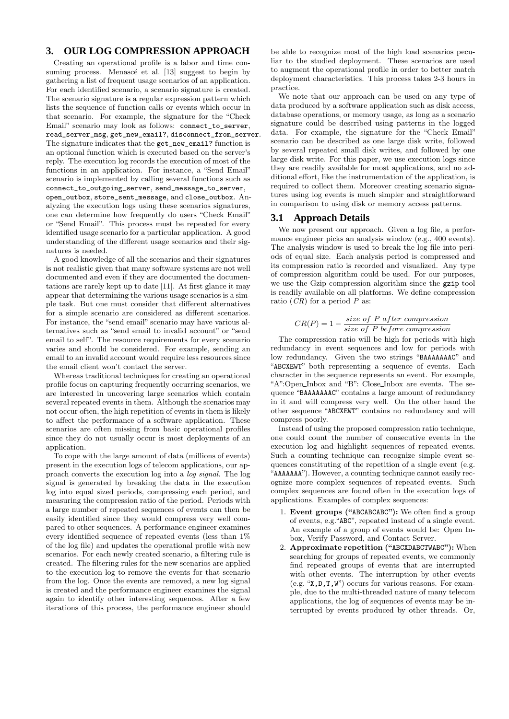## **3. OUR LOG COMPRESSION APPROACH**

Creating an operational profile is a labor and time consuming process. Menascé et al. [13] suggest to begin by gathering a list of frequent usage scenarios of an application. For each identified scenario, a scenario signature is created. The scenario signature is a regular expression pattern which lists the sequence of function calls or events which occur in that scenario. For example, the signature for the "Check Email" scenario may look as follows: connect\_to\_server, read\_server\_msg, get\_new\_email?, disconnect\_from\_server. The signature indicates that the get\_new\_email? function is an optional function which is executed based on the server's reply. The execution log records the execution of most of the functions in an application. For instance, a "Send Email" scenario is implemented by calling several functions such as connect\_to\_outgoing\_server, send\_message\_to\_server, open\_outbox, store\_sent\_message, and close\_outbox. Analyzing the execution logs using these scenarios signatures, one can determine how frequently do users "Check Email" or "Send Email". This process must be repeated for every identified usage scenario for a particular application. A good understanding of the different usage scenarios and their signatures is needed.

A good knowledge of all the scenarios and their signatures is not realistic given that many software systems are not well documented and even if they are documented the documentations are rarely kept up to date [11]. At first glance it may appear that determining the various usage scenarios is a simple task. But one must consider that different alternatives for a simple scenario are considered as different scenarios. For instance, the "send email" scenario may have various alternatives such as "send email to invalid account" or "send email to self". The resource requirements for every scenario varies and should be considered. For example, sending an email to an invalid account would require less resources since the email client won't contact the server.

Whereas traditional techniques for creating an operational profile focus on capturing frequently occurring scenarios, we are interested in uncovering large scenarios which contain several repeated events in them. Although the scenarios may not occur often, the high repetition of events in them is likely to affect the performance of a software application. These scenarios are often missing from basic operational profiles since they do not usually occur is most deployments of an application.

To cope with the large amount of data (millions of events) present in the execution logs of telecom applications, our approach converts the execution log into a log signal. The log signal is generated by breaking the data in the execution log into equal sized periods, compressing each period, and measuring the compression ratio of the period. Periods with a large number of repeated sequences of events can then be easily identified since they would compress very well compared to other sequences. A performance engineer examines every identified sequence of repeated events (less than 1% of the log file) and updates the operational profile with new scenarios. For each newly created scenario, a filtering rule is created. The filtering rules for the new scenarios are applied to the execution log to remove the events for that scenario from the log. Once the events are removed, a new log signal is created and the performance engineer examines the signal again to identify other interesting sequences. After a few iterations of this process, the performance engineer should

be able to recognize most of the high load scenarios peculiar to the studied deployment. These scenarios are used to augment the operational profile in order to better match deployment characteristics. This process takes 2-3 hours in practice.

We note that our approach can be used on any type of data produced by a software application such as disk access, database operations, or memory usage, as long as a scenario signature could be described using patterns in the logged data. For example, the signature for the "Check Email" scenario can be described as one large disk write, followed by several repeated small disk writes, and followed by one large disk write. For this paper, we use execution logs since they are readily available for most applications, and no additional effort, like the instrumentation of the application, is required to collect them. Moreover creating scenario signatures using log events is much simpler and straightforward in comparison to using disk or memory access patterns.

### **3.1 Approach Details**

We now present our approach. Given a log file, a performance engineer picks an analysis window (e.g., 400 events). The analysis window is used to break the log file into periods of equal size. Each analysis period is compressed and its compression ratio is recorded and visualized. Any type of compression algorithm could be used. For our purposes, we use the Gzip compression algorithm since the gzip tool is readily available on all platforms. We define compression ratio  $CR$  for a period P as:

$$
CR(P) = 1 - \frac{size\ of\ P\ after\ compression}{size\ of\ P\ before\ compression}
$$

The compression ratio will be high for periods with high redundancy in event sequences and low for periods with low redundancy. Given the two strings "BAAAAAAAC" and "ABCXEWT" both representing a sequence of events. Each character in the sequence represents an event. For example, "A":Open\_Inbox and "B": Close\_Inbox are events. The sequence "BAAAAAAAC" contains a large amount of redundancy in it and will compress very well. On the other hand the other sequence "ABCXEWT" contains no redundancy and will compress poorly.

Instead of using the proposed compression ratio technique, one could count the number of consecutive events in the execution log and highlight sequences of repeated events. Such a counting technique can recognize simple event sequences constituting of the repetition of a single event (e.g. "AAAAAAA"). However, a counting technique cannot easily recognize more complex sequences of repeated events. Such complex sequences are found often in the execution logs of applications. Examples of complex sequences:

- 1. Event groups ("ABCABCABC"): We often find a group of events, e.g."ABC", repeated instead of a single event. An example of a group of events would be: Open Inbox, Verify Password, and Contact Server.
- 2. Approximate repetition ("ABCXDABCTWABC"): When searching for groups of repeated events, we commonly find repeated groups of events that are interrupted with other events. The interruption by other events (e.g. "X,D,T,W") occurs for various reasons. For example, due to the multi-threaded nature of many telecom applications, the log of sequences of events may be interrupted by events produced by other threads. Or,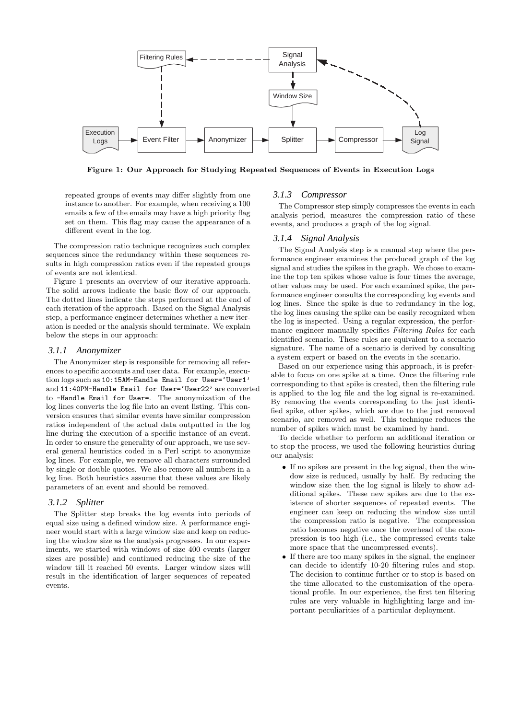

Figure 1: Our Approach for Studying Repeated Sequences of Events in Execution Logs

repeated groups of events may differ slightly from one instance to another. For example, when receiving a 100 emails a few of the emails may have a high priority flag set on them. This flag may cause the appearance of a different event in the log.

The compression ratio technique recognizes such complex sequences since the redundancy within these sequences results in high compression ratios even if the repeated groups of events are not identical.

Figure 1 presents an overview of our iterative approach. The solid arrows indicate the basic flow of our approach. The dotted lines indicate the steps performed at the end of each iteration of the approach. Based on the Signal Analysis step, a performance engineer determines whether a new iteration is needed or the analysis should terminate. We explain below the steps in our approach:

#### *3.1.1 Anonymizer*

The Anonymizer step is responsible for removing all references to specific accounts and user data. For example, execution logs such as 10:15AM-Handle Email for User='User1' and 11:40PM-Handle Email for User='User22' are converted to -Handle Email for User=. The anonymization of the log lines converts the log file into an event listing. This conversion ensures that similar events have similar compression ratios independent of the actual data outputted in the log line during the execution of a specific instance of an event. In order to ensure the generality of our approach, we use several general heuristics coded in a Perl script to anonymize log lines. For example, we remove all characters surrounded by single or double quotes. We also remove all numbers in a log line. Both heuristics assume that these values are likely parameters of an event and should be removed.

#### *3.1.2 Splitter*

The Splitter step breaks the log events into periods of equal size using a defined window size. A performance engineer would start with a large window size and keep on reducing the window size as the analysis progresses. In our experiments, we started with windows of size 400 events (larger sizes are possible) and continued reducing the size of the window till it reached 50 events. Larger window sizes will result in the identification of larger sequences of repeated events.

#### *3.1.3 Compressor*

The Compressor step simply compresses the events in each analysis period, measures the compression ratio of these events, and produces a graph of the log signal.

#### *3.1.4 Signal Analysis*

The Signal Analysis step is a manual step where the performance engineer examines the produced graph of the log signal and studies the spikes in the graph. We chose to examine the top ten spikes whose value is four times the average, other values may be used. For each examined spike, the performance engineer consults the corresponding log events and log lines. Since the spike is due to redundancy in the log, the log lines causing the spike can be easily recognized when the log is inspected. Using a regular expression, the performance engineer manually specifies Filtering Rules for each identified scenario. These rules are equivalent to a scenario signature. The name of a scenario is derived by consulting a system expert or based on the events in the scenario.

Based on our experience using this approach, it is preferable to focus on one spike at a time. Once the filtering rule corresponding to that spike is created, then the filtering rule is applied to the log file and the log signal is re-examined. By removing the events corresponding to the just identified spike, other spikes, which are due to the just removed scenario, are removed as well. This technique reduces the number of spikes which must be examined by hand.

To decide whether to perform an additional iteration or to stop the process, we used the following heuristics during our analysis:

- If no spikes are present in the log signal, then the window size is reduced, usually by half. By reducing the window size then the log signal is likely to show additional spikes. These new spikes are due to the existence of shorter sequences of repeated events. The engineer can keep on reducing the window size until the compression ratio is negative. The compression ratio becomes negative once the overhead of the compression is too high (i.e., the compressed events take more space that the uncompressed events).
- If there are too many spikes in the signal, the engineer can decide to identify 10-20 filtering rules and stop. The decision to continue further or to stop is based on the time allocated to the customization of the operational profile. In our experience, the first ten filtering rules are very valuable in highlighting large and important peculiarities of a particular deployment.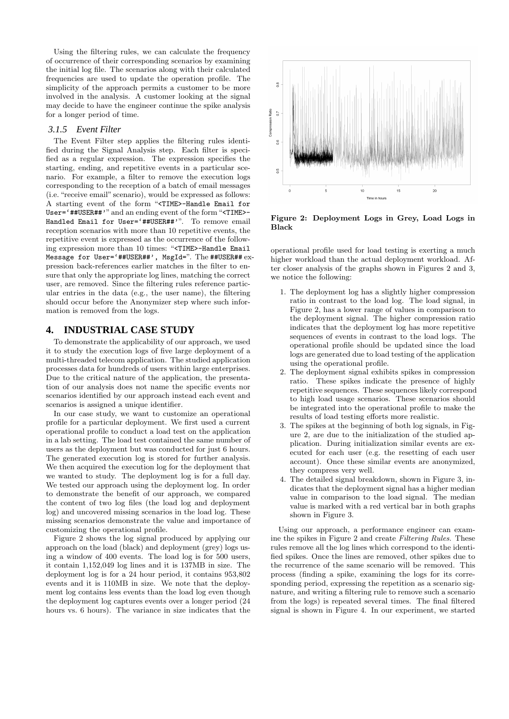Using the filtering rules, we can calculate the frequency of occurrence of their corresponding scenarios by examining the initial log file. The scenarios along with their calculated frequencies are used to update the operation profile. The simplicity of the approach permits a customer to be more involved in the analysis. A customer looking at the signal may decide to have the engineer continue the spike analysis for a longer period of time.

#### *3.1.5 Event Filter*

The Event Filter step applies the filtering rules identified during the Signal Analysis step. Each filter is specified as a regular expression. The expression specifies the starting, ending, and repetitive events in a particular scenario. For example, a filter to remove the execution logs corresponding to the reception of a batch of email messages (i.e. "receive email" scenario), would be expressed as follows: A starting event of the form "<TIME>-Handle Email for User='##USER##'" and an ending event of the form "<TIME>- Handled Email for User='##USER##'". To remove email reception scenarios with more than 10 repetitive events, the repetitive event is expressed as the occurrence of the following expression more than 10 times: "<TIME>-Handle Email Message for User='##USER##', MsgId=". The ##USER## expression back-references earlier matches in the filter to ensure that only the appropriate log lines, matching the correct user, are removed. Since the filtering rules reference particular entries in the data (e.g., the user name), the filtering should occur before the Anonymizer step where such information is removed from the logs.

## **4. INDUSTRIAL CASE STUDY**

To demonstrate the applicability of our approach, we used it to study the execution logs of five large deployment of a multi-threaded telecom application. The studied application processes data for hundreds of users within large enterprises. Due to the critical nature of the application, the presentation of our analysis does not name the specific events nor scenarios identified by our approach instead each event and scenarios is assigned a unique identifier.

In our case study, we want to customize an operational profile for a particular deployment. We first used a current operational profile to conduct a load test on the application in a lab setting. The load test contained the same number of users as the deployment but was conducted for just 6 hours. The generated execution log is stored for further analysis. We then acquired the execution log for the deployment that we wanted to study. The deployment log is for a full day. We tested our approach using the deployment log. In order to demonstrate the benefit of our approach, we compared the content of two log files (the load log and deployment log) and uncovered missing scenarios in the load log. These missing scenarios demonstrate the value and importance of customizing the operational profile.

Figure 2 shows the log signal produced by applying our approach on the load (black) and deployment (grey) logs using a window of 400 events. The load log is for 500 users, it contain 1,152,049 log lines and it is 137MB in size. The deployment log is for a 24 hour period, it contains 953,802 events and it is 110MB in size. We note that the deployment log contains less events than the load log even though the deployment log captures events over a longer period (24 hours vs. 6 hours). The variance in size indicates that the



Figure 2: Deployment Logs in Grey, Load Logs in Black

operational profile used for load testing is exerting a much higher workload than the actual deployment workload. After closer analysis of the graphs shown in Figures 2 and 3, we notice the following:

- 1. The deployment log has a slightly higher compression ratio in contrast to the load log. The load signal, in Figure 2, has a lower range of values in comparison to the deployment signal. The higher compression ratio indicates that the deployment log has more repetitive sequences of events in contrast to the load logs. The operational profile should be updated since the load logs are generated due to load testing of the application using the operational profile.
- 2. The deployment signal exhibits spikes in compression ratio. These spikes indicate the presence of highly repetitive sequences. These sequences likely correspond to high load usage scenarios. These scenarios should be integrated into the operational profile to make the results of load testing efforts more realistic.
- 3. The spikes at the beginning of both log signals, in Figure 2, are due to the initialization of the studied application. During initialization similar events are executed for each user (e.g. the resetting of each user account). Once these similar events are anonymized, they compress very well.
- 4. The detailed signal breakdown, shown in Figure 3, indicates that the deployment signal has a higher median value in comparison to the load signal. The median value is marked with a red vertical bar in both graphs shown in Figure 3.

Using our approach, a performance engineer can examine the spikes in Figure 2 and create Filtering Rules. These rules remove all the log lines which correspond to the identified spikes. Once the lines are removed, other spikes due to the recurrence of the same scenario will be removed. This process (finding a spike, examining the logs for its corresponding period, expressing the repetition as a scenario signature, and writing a filtering rule to remove such a scenario from the logs) is repeated several times. The final filtered signal is shown in Figure 4. In our experiment, we started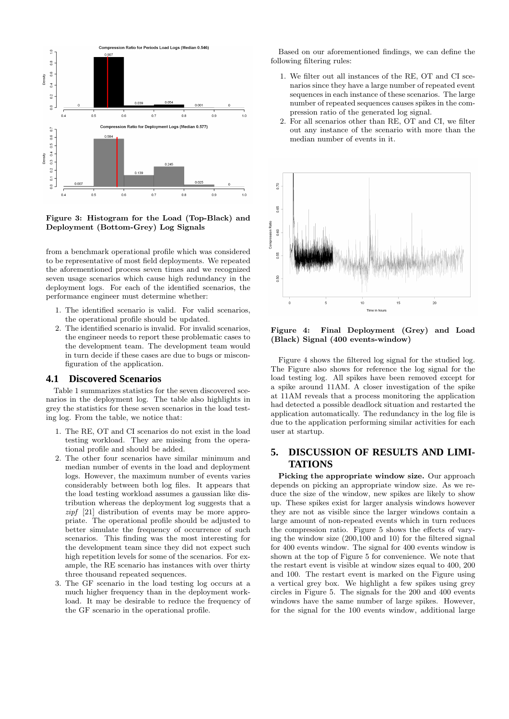

Figure 3: Histogram for the Load (Top-Black) and Deployment (Bottom-Grey) Log Signals

from a benchmark operational profile which was considered to be representative of most field deployments. We repeated the aforementioned process seven times and we recognized seven usage scenarios which cause high redundancy in the deployment logs. For each of the identified scenarios, the performance engineer must determine whether:

- 1. The identified scenario is valid. For valid scenarios, the operational profile should be updated.
- 2. The identified scenario is invalid. For invalid scenarios, the engineer needs to report these problematic cases to the development team. The development team would in turn decide if these cases are due to bugs or misconfiguration of the application.

#### **4.1 Discovered Scenarios**

Table 1 summarizes statistics for the seven discovered scenarios in the deployment log. The table also highlights in grey the statistics for these seven scenarios in the load testing log. From the table, we notice that:

- 1. The RE, OT and CI scenarios do not exist in the load testing workload. They are missing from the operational profile and should be added.
- 2. The other four scenarios have similar minimum and median number of events in the load and deployment logs. However, the maximum number of events varies considerably between both log files. It appears that the load testing workload assumes a gaussian like distribution whereas the deployment log suggests that a zipf [21] distribution of events may be more appropriate. The operational profile should be adjusted to better simulate the frequency of occurrence of such scenarios. This finding was the most interesting for the development team since they did not expect such high repetition levels for some of the scenarios. For example, the RE scenario has instances with over thirty three thousand repeated sequences.
- 3. The GF scenario in the load testing log occurs at a much higher frequency than in the deployment workload. It may be desirable to reduce the frequency of the GF scenario in the operational profile.

Based on our aforementioned findings, we can define the following filtering rules:

- 1. We filter out all instances of the RE, OT and CI scenarios since they have a large number of repeated event sequences in each instance of these scenarios. The large number of repeated sequences causes spikes in the compression ratio of the generated log signal.
- 2. For all scenarios other than RE, OT and CI, we filter out any instance of the scenario with more than the median number of events in it.



Figure 4: Final Deployment (Grey) and Load (Black) Signal (400 events-window)

Figure 4 shows the filtered log signal for the studied log. The Figure also shows for reference the log signal for the load testing log. All spikes have been removed except for a spike around 11AM. A closer investigation of the spike at 11AM reveals that a process monitoring the application had detected a possible deadlock situation and restarted the application automatically. The redundancy in the log file is due to the application performing similar activities for each user at startup.

# **5. DISCUSSION OF RESULTS AND LIMI-TATIONS**

Picking the appropriate window size. Our approach depends on picking an appropriate window size. As we reduce the size of the window, new spikes are likely to show up. These spikes exist for larger analysis windows however they are not as visible since the larger windows contain a large amount of non-repeated events which in turn reduces the compression ratio. Figure 5 shows the effects of varying the window size (200,100 and 10) for the filtered signal for 400 events window. The signal for 400 events window is shown at the top of Figure 5 for convenience. We note that the restart event is visible at window sizes equal to 400, 200 and 100. The restart event is marked on the Figure using a vertical grey box. We highlight a few spikes using grey circles in Figure 5. The signals for the 200 and 400 events windows have the same number of large spikes. However, for the signal for the 100 events window, additional large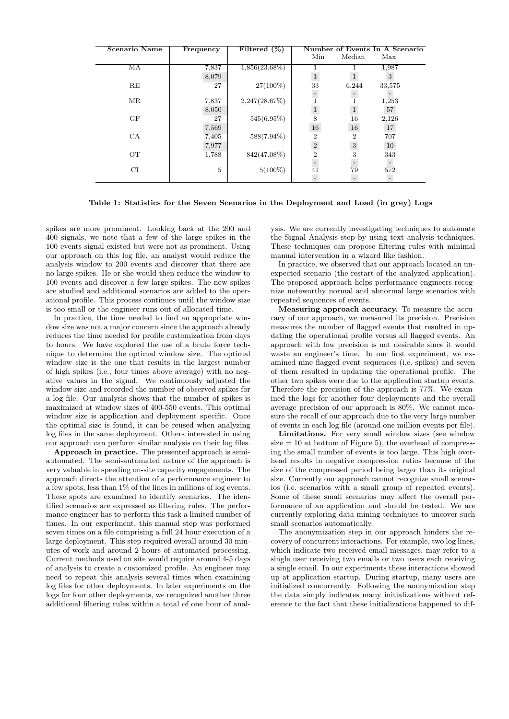| Scenario Name | Frequency | Filtered $(\%)$  | Number of Events In A Scenario |                |        |
|---------------|-----------|------------------|--------------------------------|----------------|--------|
|               |           |                  | Min                            | Median         | Max    |
| MA            | 7,837     | $1,856(23.68\%)$ |                                |                | 1,987  |
|               | 8,079     |                  | $\mathbf{1}$                   |                | 3      |
| RE            | 27        | 27(100%)         | 33                             | 6,244          | 33,575 |
|               |           |                  |                                |                |        |
| MR            | 7,837     | 2,247(28.67%)    |                                |                | 1,253  |
|               | 8,050     |                  | $\,1$                          | $\mathbf{1}$   | 57     |
| GF            | 27        | $545(6.95\%)$    | 8                              | 16             | 2,126  |
|               | 7,569     |                  | 16                             | 16             | 17     |
| CA            | 7,405     | 588(7.94%)       | $\overline{2}$                 | $\overline{2}$ | 707    |
|               | 7,977     |                  | $\,2$                          | $\overline{3}$ | 10     |
| <b>OT</b>     | 1,788     | 842(47.08%)      | $\overline{2}$                 | 3              | 343    |
|               |           |                  |                                |                |        |
| CI            | 5         | $5(100\%)$       | 41                             | 79             | 572    |
|               |           |                  |                                |                |        |

Table 1: Statistics for the Seven Scenarios in the Deployment and Load (in grey) Logs

spikes are more prominent. Looking back at the 200 and 400 signals, we note that a few of the large spikes in the 100 events signal existed but were not as prominent. Using our approach on this log file, an analyst would reduce the analysis window to 200 events and discover that there are no large spikes. He or she would then reduce the window to 100 events and discover a few large spikes. The new spikes are studied and additional scenarios are added to the operational profile. This process continues until the window size is too small or the engineer runs out of allocated time.

In practice, the time needed to find an appropriate window size was not a major concern since the approach already reduces the time needed for profile customization from days to hours. We have explored the use of a brute force technique to determine the optimal window size. The optimal window size is the one that results in the largest number of high spikes (i.e., four times above average) with no negative values in the signal. We continuously adjusted the window size and recorded the number of observed spikes for a log file. Our analysis shows that the number of spikes is maximized at window sizes of 400-550 events. This optimal window size is application and deployment specific. Once the optimal size is found, it can be reused when analyzing log files in the same deployment. Others interested in using our approach can perform similar analysis on their log files.

Approach in practice. The presented approach is semiautomated. The semi-automated nature of the approach is very valuable in speeding on-site capacity engagements. The approach directs the attention of a performance engineer to a few spots, less than 1% of the lines in millions of log events. These spots are examined to identify scenarios. The identified scenarios are expressed as filtering rules. The performance engineer has to perform this task a limited number of times. In our experiment, this manual step was performed seven times on a file comprising a full 24 hour execution of a large deployment. This step required overall around 30 minutes of work and around 2 hours of automated processing. Current methods used on site would require around 4-5 days of analysis to create a customized profile. An engineer may need to repeat this analysis several times when examining log files for other deployments. In later experiments on the logs for four other deployments, we recognized another three additional filtering rules within a total of one hour of analysis. We are currently investigating techniques to automate the Signal Analysis step by using text analysis techniques. These techniques can propose filtering rules with minimal manual intervention in a wizard like fashion.

In practice, we observed that our approach located an unexpected scenario (the restart of the analyzed application). The proposed approach helps performance engineers recognize noteworthy normal and abnormal large scenarios with repeated sequences of events.

Measuring approach accuracy. To measure the accuracy of our approach, we measured its precision. Precision measures the number of flagged events that resulted in updating the operational profile versus all flagged events. An approach with low precision is not desirable since it would waste an engineer's time. In our first experiment, we examined nine flagged event sequences (i.e. spikes) and seven of them resulted in updating the operational profile. The other two spikes were due to the application startup events. Therefore the precision of the approach is 77%. We examined the logs for another four deployments and the overall average precision of our approach is 80%. We cannot measure the recall of our approach due to the very large number of events in each log file (around one million events per file).

Limitations. For very small window sizes (see window size  $= 10$  at bottom of Figure 5), the overhead of compressing the small number of events is too large. This high overhead results in negative compression ratios because of the size of the compressed period being larger than its original size. Currently our approach cannot recognize small scenarios (i.e. scenarios with a small group of repeated events). Some of these small scenarios may affect the overall performance of an application and should be tested. We are currently exploring data mining techniques to uncover such small scenarios automatically.

The anonymization step in our approach hinders the recovery of concurrent interactions. For example, two log lines, which indicate two received email messages, may refer to a single user receiving two emails or two users each receiving a single email. In our experiments these interactions showed up at application startup. During startup, many users are initialized concurrently. Following the anonymization step the data simply indicates many initializations without reference to the fact that these initializations happened to dif-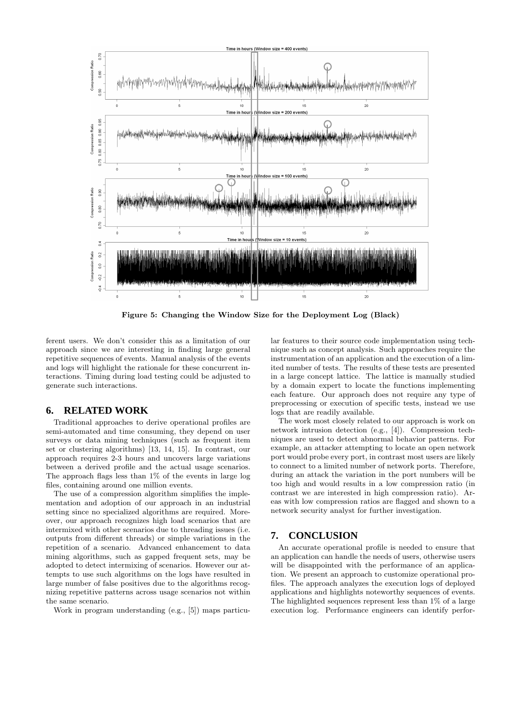

Figure 5: Changing the Window Size for the Deployment Log (Black)

ferent users. We don't consider this as a limitation of our approach since we are interesting in finding large general repetitive sequences of events. Manual analysis of the events and logs will highlight the rationale for these concurrent interactions. Timing during load testing could be adjusted to generate such interactions.

#### **6. RELATED WORK**

Traditional approaches to derive operational profiles are semi-automated and time consuming, they depend on user surveys or data mining techniques (such as frequent item set or clustering algorithms) [13, 14, 15]. In contrast, our approach requires 2-3 hours and uncovers large variations between a derived profile and the actual usage scenarios. The approach flags less than 1% of the events in large log files, containing around one million events.

The use of a compression algorithm simplifies the implementation and adoption of our approach in an industrial setting since no specialized algorithms are required. Moreover, our approach recognizes high load scenarios that are intermixed with other scenarios due to threading issues (i.e. outputs from different threads) or simple variations in the repetition of a scenario. Advanced enhancement to data mining algorithms, such as gapped frequent sets, may be adopted to detect intermixing of scenarios. However our attempts to use such algorithms on the logs have resulted in large number of false positives due to the algorithms recognizing repetitive patterns across usage scenarios not within the same scenario.

Work in program understanding (e.g., [5]) maps particu-

lar features to their source code implementation using technique such as concept analysis. Such approaches require the instrumentation of an application and the execution of a limited number of tests. The results of these tests are presented in a large concept lattice. The lattice is manually studied by a domain expert to locate the functions implementing each feature. Our approach does not require any type of preprocessing or execution of specific tests, instead we use logs that are readily available.

The work most closely related to our approach is work on network intrusion detection (e.g., [4]). Compression techniques are used to detect abnormal behavior patterns. For example, an attacker attempting to locate an open network port would probe every port, in contrast most users are likely to connect to a limited number of network ports. Therefore, during an attack the variation in the port numbers will be too high and would results in a low compression ratio (in contrast we are interested in high compression ratio). Areas with low compression ratios are flagged and shown to a network security analyst for further investigation.

## **7. CONCLUSION**

An accurate operational profile is needed to ensure that an application can handle the needs of users, otherwise users will be disappointed with the performance of an application. We present an approach to customize operational profiles. The approach analyzes the execution logs of deployed applications and highlights noteworthy sequences of events. The highlighted sequences represent less than 1% of a large execution log. Performance engineers can identify perfor